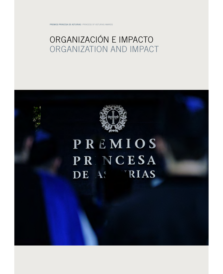PREMIOS PRINCESA DE ASTURIAS | PRINCESS OF ASTURIAS AWARDS

## ORGANIZACIÓN E IMPACTO ORGANIZATION AND IMPACT



# PREMIOS **PRNCESA** DE AS RIAS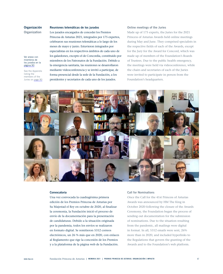Organización **Organization** 

See the Appendix listing the members of the Juries on [page 90](#page--1-0)

Ver anexo con miembros de los jurados en la [página 90](#page--1-0)

## Reuniones telemáticas de los jurados

Princesa de Asturias 2021, integrados por 175 expertos, celebraron sus reuniones telemáticas a lo largo de los meses de mayo y junio. Estuvieron integrados por especialistas en los respectivos ámbitos de cada uno de los galardones, excepto el de Concordia, constituido por miembros de los Patronatos de la Fundación. Debido a la emergencia sanitaria, las reuniones se desarrollaron mediante videoconferencia y se invitó a participar, de forma presencial desde la sede de la Fundación, a los presidentes y secretarios de cada uno de los jurados.

Los jurados encargados de conceder los Premios

## Online meetings of the Juries

Made up of 175 experts, the Juries for the 2021 Princess of Asturias Awards held online meetings during May and June. They comprised specialists in the respective fields of each of the Awards, except for the Jury for the Award for Concord, which was made up of members of the Foundation's Boards of Trustees. Due to the public health emergency, the meetings were held via videoconference, while the chairs and secretaries of each of the Juries were invited to participate in person from the Foundation's headquarters.



#### Convocatoria

Una vez convocada la cuadragésima primera edición de los Premios Princesa de Asturias por Su Majestad el Rey en octubre de 2020, al finalizar la ceremonia, la Fundación inició el proceso de envío de la documentación para la presentación de candidaturas. Debido a la situación originada por la pandemia, todos los envíos se realizaron en formato digital. Se remitieron 5312 correos electrónicos, un 26 % más que en 2020, con enlaces al Reglamento que rige la concesión de los Premios y a la plataforma de la página web de la Fundación.

#### Call for Nominations

Once the Call for the 41st Princess of Asturias Awards was announced by HM The King in October 2020 following the closure of the Awards Ceremony, the Foundation began the process of sending out documentation for the submission of nominations. Due to the situation resulting from the pandemic, all mailings were digital in format. In all, 5312 emails were sent, 26% more than in 2020, and included hyperlinks to the Regulations that govern the granting of the Awards and to the Foundation's web platform.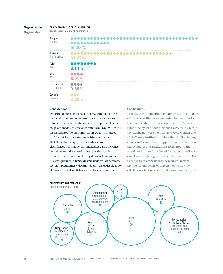## Organización

**Organization** 

## ORIGEN GEOGRÁFICO DE LOS CANDIDATOS

GEOGRAPHICAL ORIGIN OF CANDIDATES

| Europa<br>Europe | <br><br>50.82% |
|------------------|----------------|
| América          |                |
| The Americas     | 31.27%         |
| Asia             |                |
| Asia             | 8.14%          |
| África           | a a a a        |
| Africa           | 3.91%          |
| Internacional    | <b></b>        |
| International    | 3.58%          |
| Oceanía          | .              |
| Oceania          | 2.28%          |

## **Candidaturas**

299 candidaturas, integradas por 307 candidatos de 57 nacionalidades, se presentaron a los jurados para su estudio. 57 de esas candidaturas fueron propuestas por 40 galardonados en ediciones anteriores. Un 59,61 % de los candidatos fueron hombres, un 24,43 % mujeres y un 15,96 % instituciones. Se registraron más de 10300 escritos de apoyo entre cartas, correos electrónicos y firmas de personalidades e instituciones de todo el mundo, entre las que cabe destacar las procedentes de premios Nobel y de galardonados con nuestros premios, además de embajadores, académicos, rectores, presidentes y decanos de universidades de todo el mundo, colegios oficiales y fundaciones, entre otros.

## **Candidatures**

In total, 299 candidatures, comprising 307 candidates of 57 nationalities, were presented to the Juries for their deliberation. Of these nominations, 57 were submitted by 40 of our previous Laureates. 59.61% of the candidates were men, 24.43% were women and 15.96% were institutions. More than 10 300 letters, emails and signatures of support were received from public figures and institutions from around the world, with those from Nobel Laureates as well as our own Laureates being worthy of mention, in addition to those from ambassadors, academics, rectors, presidents and deans of universities worldwide, official associations and foundations, among others.

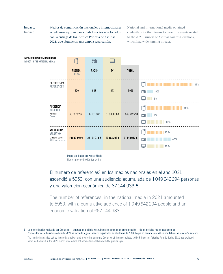## Impacto

Impact

Medios de comunicación nacionales e internacionales acreditaron equipos para cubrir los actos relacionados con la entrega de los Premios Princesa de Asturias 2021, que obtuvieron una amplia repercusión.

National and international media obtained credentials for their teams to cover the events related to the 2021 Princess of Asturias Awards Ceremony, which had wide-ranging impact.



## El número de referencias<sup>1</sup> en los medios nacionales en el año 2021 ascendió a 5959, con una audiencia acumulada de 1049642294 personas y una valoración económica de 67144 933 €.

The number of references<sup>1</sup> in the national media in 2021 amounted to 5959, with a cumulative audience of 1049642294 people and an economic valuation of €67144 933.

1\_ La monitorización realizada por Onclusive —empresa de análisis y seguimiento de medios de comunicación— de las noticias relacionadas con los Premios Princesa de Asturias durante 2021 ha excluido algunos medios registrados en el informe de 2020, lo que no permite un análisis equitativo con la edición anterior. The monitoring carried out by the media analysis and monitoring company Onclusive of the news related to the Princess of Asturias Awards during 2021 has excluded

some media listed in the 2020 report, which does not allow a fair analysis with the previous year.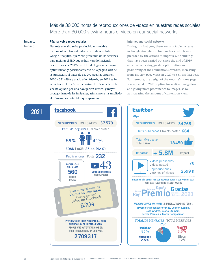## Más de 30 000 horas de reproducciones de vídeos en nuestras redes sociales More than 30 000 viewing hours of video on our social networks

## Impacto Impact

## Página web y redes sociales

Durante este año se ha producido un notable incremento en los indicadores de tráfico web de Google Analytics, que viene precedido de las acciones para mejorar el SEO que se han venido haciendo desde finales de 2019 con el fin de lograr una mayor optimización y posicionamiento de la página web de la Fundación, al pasar de 187297 páginas vistas en 2020 a 551459 el pasado año. Además, en 2021 se ha actualizado el diseño de la página de inicio de la web y se ha optado por una navegación vertical y mayor protagonismo de las imágenes, asimismo se ha ampliado el número de contenidos que aparecen.

## Internet and social networks

During this last year, there was a notable increase in Google Analytics website metrics, which was preceded by the actions to improve SEO rankings that have been carried out since the end of 2019 aimed at achieving greater optimization and positioning of the Foundation's website, increasing from 187 297 page views in 2020 to 551 459 last year. Furthermore, the design of the website's home page was updated in 2021, opting for vertical navigation and giving more prominence to images, as well as increasing the amount of content on view.



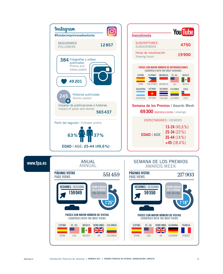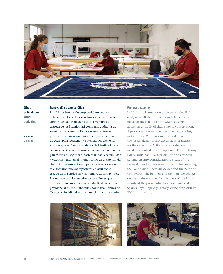

**Otras** actividades **Other** activities

VÍDEOS VIDEOS

### Renovación escenográfica

En 2018 la Fundación emprendió un análisis detallado de todas las estructuras y elementos que conforman la escenografía de la ceremonia de entrega de los Premios, así como una auditoría de su estado de conservación. Comenzó entonces un proceso de renovación, que concluyó en octubre de 2021, para reordenar y potenciar los elementos visuales que actúan como signos de identidad de la ceremonia. Se acometieron actuaciones atendiendo a parámetros de seguridad, sostenibilidad, accesibilidad y estéticos tanto en el interior como en el exterior del Teatro Campoamor. Como parte de la renovación, se elaboraron nuevos reposteros en azul con el escudo de la Fundación y el nombre de los Premios. Los reposteros y los escudos de los sillones que ocupan los miembros de la Familia Real en la mesa presidencial fueron elaborados por la Real Fábrica de Tapices, coincidiendo con su trescientos aniversario.



## Renewed staging

In 2018, the Foundation undertook a detailed analysis of all the structures and elements that make up the staging of the Awards Ceremony, as well as an audit of their state of conservation. A process of renewal then commenced, ending in October 2021, to restructure and enhance the visual elements that act as signs of identity for the ceremony. Actions were carried out both inside and outside the Campoamor Theatre taking safety, sustainability, accessibility and aesthetic parameters into consideration. As part of the renewal, new banners were made in blue featuring the Foundation's heraldic device and the name of the Awards. The banners and the heraldic devices on the chairs occupied by members of the Royal Family at the presidential table were made at Spain's Royal Tapestry Factory, coinciding with its 300th anniversary.

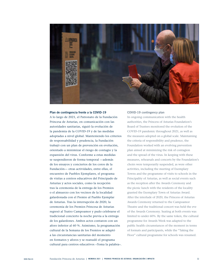

## Plan de contingencia frente a la COVID-19

A lo largo de 2021, el Patronato de la Fundación Princesa de Asturias, en comunicación con las autoridades sanitarias, siguió la evolución de la pandemia de la COVID-19 y de las medidas adoptadas a nivel global. Manteniendo los criterios de responsabilidad y prudencia, la Fundación trabajó con un plan de prevención en evolución, orientado a minimizar el riesgo de contagio y la expansión del virus. Conforme a estas medidas se suspendieron de forma temporal —además de los ensayos y conciertos de los coros de la Fundación— otras actividades, entre ellas, el encuentro de Pueblos Ejemplares, el programa de visitas a centros educativos del Principado de Asturias y actos sociales, como la recepción tras la ceremonia de la entrega de los Premios o el almuerzo con los vecinos de la localidad galardonada con el Premio al Pueblo Ejemplar de Asturias. Tras la interrupción de 2020, la ceremonia de los Premios Princesa de Asturias regresó al Teatro Campoamor y pudo celebrarse el tradicional concierto la noche previa a la entrega de los galardones. Ambos actos contaron con un aforo inferior al 60 %. Asimismo, la programación cultural de la Semana de los Premios se adaptó a las circunstancias sanitarias del momento en formatos y aforos y se reanudó el programa cultural para centros educativos «Toma la palabra».

#### COVID-19 contingency plan

In ongoing communication with the health authorities, the Princess of Asturias Foundation's Board of Trustees monitored the evolution of the COVID-19 pandemic throughout 2021, as well as the measures adopted on a global scale. Maintaining the criteria of responsibility and prudence, the Foundation worked with an evolving prevention plan aimed at minimizing the risk of contagion and the spread of the virus. In keeping with these measures, rehearsals and concerts by the Foundation's choirs were temporarily suspended, as were other activities, including the meeting of Exemplary Towns and the programme of visits to schools in the Principality of Asturias, as well as social events such as the reception after the Awards Ceremony and the picnic lunch with the residents of the locality granted the Exemplary Town of Asturias Award. After the interlude of 2020, the Princess of Asturias Awards Ceremony returned to the Campoamor Theatre and the traditional concert was held the eve of the Awards Ceremony. Seating at both events was limited to under 60%. By the same token, the cultural programme for Awards Week was adapted to the public health circumstances of the moment in terms of formats and participants, while the "Taking the Floor" cultural programme for schools was resumed.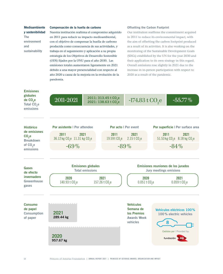Medioambiente y sostenibilidad The environment

sustainability

and

## Compensación de la huella de carbono

Nuestra institución reafirma el compromiso adquirido en 2011 para reducir su impacto medioambiental, con el objetivo de compensar la huella de carbono producida como consecuencia de sus actividades, y trabaja en el seguimiento y aplicación a su propia estrategia de los Objetivos de Desarrollo Sostenible (ODS) fijados por la ONU para el año 2030. Las emisiones totales aumentaron ligeramente en 2021 debido a una mayor presencialidad con respecto al año 2020 a causa de la mejoría en la evolución de la pandemia.

## Offsetting the Carbon Footprint

Our institution reaffirms the commitment acquired in 2011 to reduce its environmental impact, with the aim of offsetting the carbon footprint produced as a result of its activities. It is also working on the monitoring of the Sustainable Development Goals (SDGs) established by the UN for the year 2030 and their application to its own strategy in this regard. Overall emissions rose slightly in 2021 due to the increase in in-person participation with respect to 2020 as a result of the pandemic.